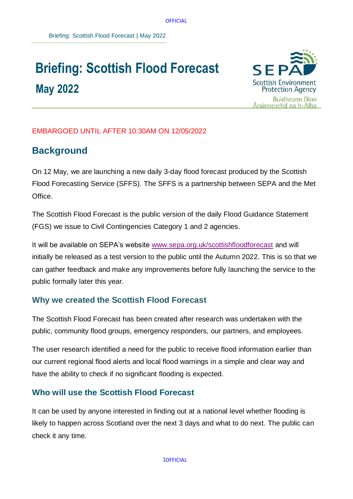**OFFICIAL** 

# **Briefing: Scottish Flood Forecast May 2022**



#### EMBARGOED UNTIL AFTER 10:30AM ON 12/05/2022

## **Background**

On 12 May, we are launching a new daily 3-day flood forecast produced by the Scottish Flood Forecasting Service (SFFS). The SFFS is a partnership between SEPA and the Met Office.

The Scottish Flood Forecast is the public version of the daily Flood Guidance Statement (FGS) we issue to Civil Contingencies Category 1 and 2 agencies.

It will be available on SEPA's website [www.sepa.org.uk/scottishfloodforecast](http://www.sepa.org.uk/scottishfloodforecast) and will initially be released as a test version to the public until the Autumn 2022. This is so that we can gather feedback and make any improvements before fully launching the service to the public formally later this year.

## **Why we created the Scottish Flood Forecast**

The Scottish Flood Forecast has been created after research was undertaken with the public, community flood groups, emergency responders, our partners, and employees.

The user research identified a need for the public to receive flood information earlier than our current regional flood alerts and local flood warnings in a simple and clear way and have the ability to check if no significant flooding is expected.

## **Who will use the Scottish Flood Forecast**

It can be used by anyone interested in finding out at a national level whether flooding is likely to happen across Scotland over the next 3 days and what to do next. The public can check it any time.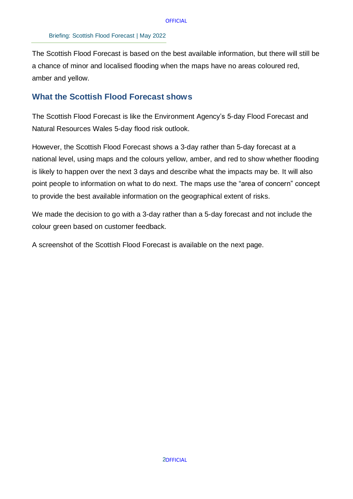The Scottish Flood Forecast is based on the best available information, but there will still be a chance of minor and localised flooding when the maps have no areas coloured red, amber and yellow.

#### **What the Scottish Flood Forecast shows**

The Scottish Flood Forecast is like the Environment Agency's 5-day Flood Forecast and Natural Resources Wales 5-day flood risk outlook.

However, the Scottish Flood Forecast shows a 3-day rather than 5-day forecast at a national level, using maps and the colours yellow, amber, and red to show whether flooding is likely to happen over the next 3 days and describe what the impacts may be. It will also point people to information on what to do next. The maps use the "area of concern" concept to provide the best available information on the geographical extent of risks.

We made the decision to go with a 3-day rather than a 5-day forecast and not include the colour green based on customer feedback.

A screenshot of the Scottish Flood Forecast is available on the next page.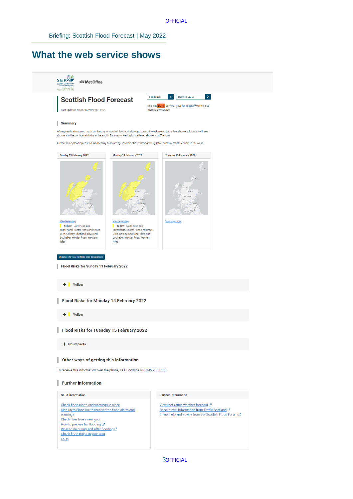#### **What the web service shows**



 3 **30FFICIAL**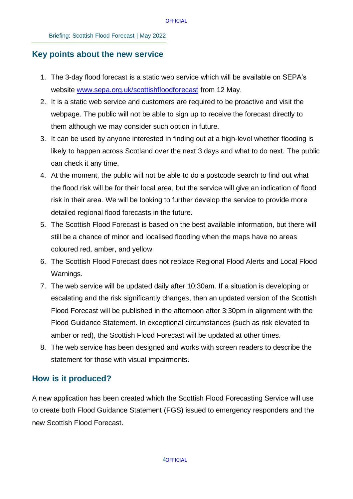#### **Key points about the new service**

- 1. The 3-day flood forecast is a static web service which will be available on SEPA's website [www.sepa.org.uk/scottishfloodforecast](http://www.sepa.org.uk/scottishfloodforecast) from 12 May.
- 2. It is a static web service and customers are required to be proactive and visit the webpage. The public will not be able to sign up to receive the forecast directly to them although we may consider such option in future.
- 3. It can be used by anyone interested in finding out at a high-level whether flooding is likely to happen across Scotland over the next 3 days and what to do next. The public can check it any time.
- 4. At the moment, the public will not be able to do a postcode search to find out what the flood risk will be for their local area, but the service will give an indication of flood risk in their area. We will be looking to further develop the service to provide more detailed regional flood forecasts in the future.
- 5. The Scottish Flood Forecast is based on the best available information, but there will still be a chance of minor and localised flooding when the maps have no areas coloured red, amber, and yellow.
- 6. The Scottish Flood Forecast does not replace Regional Flood Alerts and Local Flood Warnings.
- 7. The web service will be updated daily after 10:30am. If a situation is developing or escalating and the risk significantly changes, then an updated version of the Scottish Flood Forecast will be published in the afternoon after 3:30pm in alignment with the Flood Guidance Statement. In exceptional circumstances (such as risk elevated to amber or red), the Scottish Flood Forecast will be updated at other times.
- 8. The web service has been designed and works with screen readers to describe the statement for those with visual impairments.

#### **How is it produced?**

A new application has been created which the Scottish Flood Forecasting Service will use to create both Flood Guidance Statement (FGS) issued to emergency responders and the new Scottish Flood Forecast.